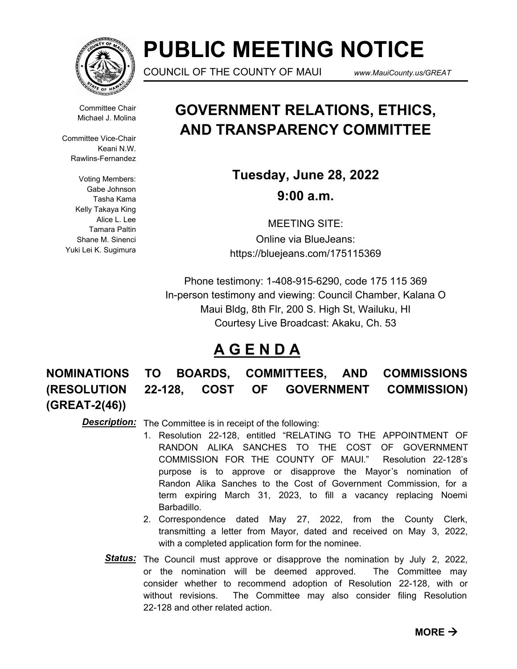

# **PUBLIC MEETING NOTICE**

COUNCIL OF THE COUNTY OF MAUI *www.MauiCounty.us/GREAT*

Committee Chair Michael J. Molina

Committee Vice-Chair Keani N.W. Rawlins-Fernandez

Voting Members: Gabe Johnson Tasha Kama Kelly Takaya King Alice L. Lee Tamara Paltin Shane M. Sinenci Yuki Lei K. Sugimura

# **GOVERNMENT RELATIONS, ETHICS, AND TRANSPARENCY COMMITTEE**

**Tuesday, June 28, 2022 9:00 a.m.**

MEETING SITE: Online via BlueJeans: https://bluejeans.com/175115369

Phone testimony: 1-408-915-6290, code 175 115 369 In-person testimony and viewing: Council Chamber, Kalana O Maui Bldg, 8th Flr, 200 S. High St, Wailuku, HI Courtesy Live Broadcast: Akaku, Ch. 53

# **A G E N D A**

**(GREAT-2(46))**

**NOMINATIONS TO BOARDS, COMMITTEES, AND COMMISSIONS (RESOLUTION 22-128, COST OF GOVERNMENT COMMISSION)** 

**Description:** The Committee is in receipt of the following:

- 1. Resolution 22-128, entitled "RELATING TO THE APPOINTMENT OF RANDON ALIKA SANCHES TO THE COST OF GOVERNMENT COMMISSION FOR THE COUNTY OF MAUI." Resolution 22-128's purpose is to approve or disapprove the Mayor's nomination of Randon Alika Sanches to the Cost of Government Commission, for a term expiring March 31, 2023, to fill a vacancy replacing Noemi Barbadillo.
- 2. Correspondence dated May 27, 2022, from the County Clerk, transmitting a letter from Mayor, dated and received on May 3, 2022, with a completed application form for the nominee.
- Status: The Council must approve or disapprove the nomination by July 2, 2022, or the nomination will be deemed approved. The Committee may consider whether to recommend adoption of Resolution 22-128, with or without revisions. The Committee may also consider filing Resolution 22-128 and other related action.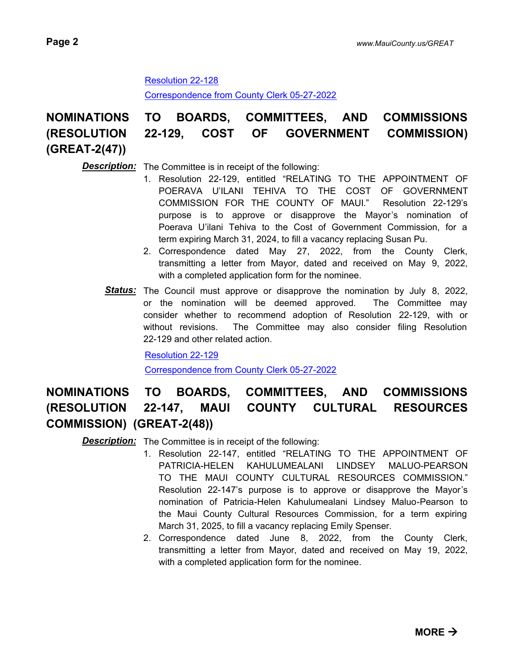# [Resolution 22-128](http://mauicounty.legistar.com/gateway.aspx?M=F&ID=8e85ba4e-20b3-4221-b3af-ddc11e125489.pdf)

[Correspondence from County Clerk 05-27-2022](http://mauicounty.legistar.com/gateway.aspx?M=F&ID=654825a7-c781-4b3e-9265-e5eaee3ba74e.pdf)

# **NOMINATIONS TO BOARDS, COMMITTEES, AND COMMISSIONS (RESOLUTION 22-129, COST OF GOVERNMENT COMMISSION) (GREAT-2(47))**

# **Description:** The Committee is in receipt of the following:

- 1. Resolution 22-129, entitled "RELATING TO THE APPOINTMENT OF POERAVA U'ILANI TEHIVA TO THE COST OF GOVERNMENT COMMISSION FOR THE COUNTY OF MAUI." Resolution 22-129's purpose is to approve or disapprove the Mayor's nomination of Poerava U'ilani Tehiva to the Cost of Government Commission, for a term expiring March 31, 2024, to fill a vacancy replacing Susan Pu.
- 2. Correspondence dated May 27, 2022, from the County Clerk, transmitting a letter from Mayor, dated and received on May 9, 2022, with a completed application form for the nominee.
- Status: The Council must approve or disapprove the nomination by July 8, 2022, or the nomination will be deemed approved. The Committee may consider whether to recommend adoption of Resolution 22-129, with or without revisions. The Committee may also consider filing Resolution 22-129 and other related action.

[Resolution 22-129](http://mauicounty.legistar.com/gateway.aspx?M=F&ID=cd9e2ba6-ac02-4645-bb97-f7dc8a34ff45.pdf)

[Correspondence from County Clerk 05-27-2022](http://mauicounty.legistar.com/gateway.aspx?M=F&ID=5da5e33e-7907-442f-8856-423792f8e1bf.pdf)

# **NOMINATIONS TO BOARDS, COMMITTEES, AND COMMISSIONS (RESOLUTION 22-147, MAUI COUNTY CULTURAL RESOURCES COMMISSION) (GREAT-2(48))**

**Description:** The Committee is in receipt of the following:

- 1. Resolution 22-147, entitled "RELATING TO THE APPOINTMENT OF PATRICIA-HELEN KAHULUMEALANI LINDSEY MALUO-PEARSON TO THE MAUI COUNTY CULTURAL RESOURCES COMMISSION." Resolution 22-147's purpose is to approve or disapprove the Mayor's nomination of Patricia-Helen Kahulumealani Lindsey Maluo-Pearson to the Maui County Cultural Resources Commission, for a term expiring March 31, 2025, to fill a vacancy replacing Emily Spenser.
- 2. Correspondence dated June 8, 2022, from the County Clerk, transmitting a letter from Mayor, dated and received on May 19, 2022, with a completed application form for the nominee.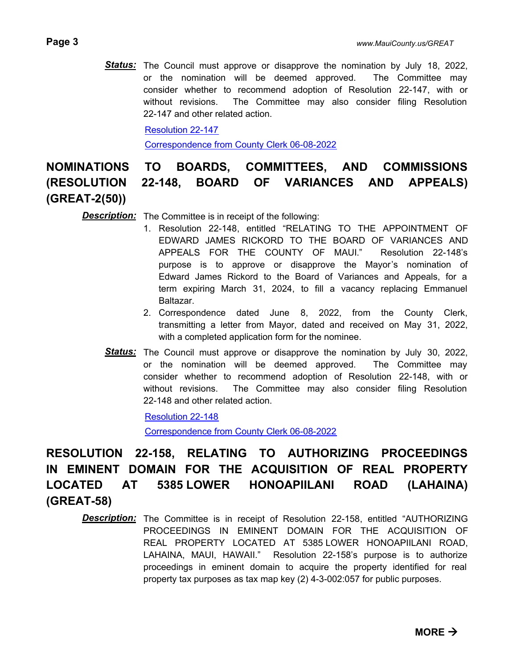Status: The Council must approve or disapprove the nomination by July 18, 2022, or the nomination will be deemed approved. The Committee may consider whether to recommend adoption of Resolution 22-147, with or without revisions. The Committee may also consider filing Resolution 22-147 and other related action.

[Resolution 22-147](http://mauicounty.legistar.com/gateway.aspx?M=F&ID=30577273-a9af-483a-88fd-e9da85245d28.pdf)

[Correspondence from County Clerk 06-08-2022](http://mauicounty.legistar.com/gateway.aspx?M=F&ID=b9ccb8f2-2f25-4c48-859c-87639103c075.pdf)

**NOMINATIONS TO BOARDS, COMMITTEES, AND COMMISSIONS (RESOLUTION 22-148, BOARD OF VARIANCES AND APPEALS) (GREAT-2(50))**

**Description:** The Committee is in receipt of the following:

- 1. Resolution 22-148, entitled "RELATING TO THE APPOINTMENT OF EDWARD JAMES RICKORD TO THE BOARD OF VARIANCES AND APPEALS FOR THE COUNTY OF MAUI." Resolution 22-148's purpose is to approve or disapprove the Mayor's nomination of Edward James Rickord to the Board of Variances and Appeals, for a term expiring March 31, 2024, to fill a vacancy replacing Emmanuel Baltazar.
	- 2. Correspondence dated June 8, 2022, from the County Clerk, transmitting a letter from Mayor, dated and received on May 31, 2022, with a completed application form for the nominee.
- Status: The Council must approve or disapprove the nomination by July 30, 2022, or the nomination will be deemed approved. The Committee may consider whether to recommend adoption of Resolution 22-148, with or without revisions. The Committee may also consider filing Resolution 22-148 and other related action.

[Resolution 22-148](http://mauicounty.legistar.com/gateway.aspx?M=F&ID=e7c1da8f-98ab-42df-8cae-55eb5514a279.pdf)

[Correspondence from County Clerk 06-08-2022](http://mauicounty.legistar.com/gateway.aspx?M=F&ID=75e3925a-8fce-4a04-8b00-02d8625fa9b7.pdf)

# **RESOLUTION 22-158, RELATING TO AUTHORIZING PROCEEDINGS IN EMINENT DOMAIN FOR THE ACQUISITION OF REAL PROPERTY LOCATED AT 5385 LOWER HONOAPIILANI ROAD (LAHAINA) (GREAT-58)**

**Description:** The Committee is in receipt of Resolution 22-158, entitled "AUTHORIZING PROCEEDINGS IN EMINENT DOMAIN FOR THE ACQUISITION OF REAL PROPERTY LOCATED AT 5385 LOWER HONOAPIILANI ROAD, LAHAINA, MAUI, HAWAII." Resolution 22-158's purpose is to authorize proceedings in eminent domain to acquire the property identified for real property tax purposes as tax map key (2) 4-3-002:057 for public purposes.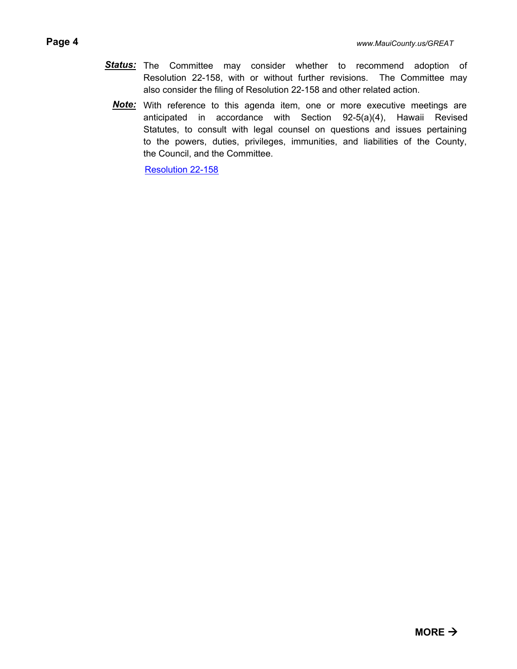- Status: The Committee may consider whether to recommend adoption of Resolution 22-158, with or without further revisions. The Committee may also consider the filing of Resolution 22-158 and other related action.
	- Note: With reference to this agenda item, one or more executive meetings are anticipated in accordance with Section 92-5(a)(4), Hawaii Revised Statutes, to consult with legal counsel on questions and issues pertaining to the powers, duties, privileges, immunities, and liabilities of the County, the Council, and the Committee.

[Resolution 22-158](http://mauicounty.legistar.com/gateway.aspx?M=F&ID=ae7c360f-0c22-491e-8d56-9b30ea9160b6.pdf)